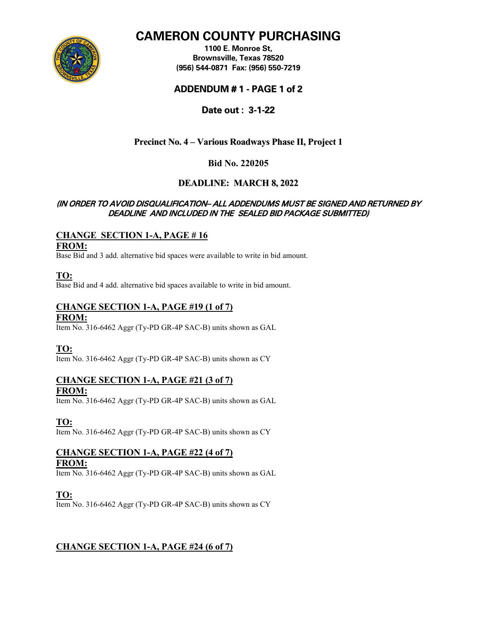

# **CAMERON COUNTY PURCHASING**

**1100 E. Monroe St, Brownsville, Texas 78520 (956) 544-0871 Fax: (956) 550-7219**

### **ADDENDUM # 1 - PAGE 1 of 2**

**Date out : 3-1-22**

## **Precinct No. 4 – Various Roadways Phase II, Project 1**

### **Bid No. 220205**

## **DEADLINE: MARCH 8, 2022**

### (IN ORDER TO AVOID DISQUALIFICATION– ALL ADDENDUMS MUST BE SIGNED AND RETURNED BY DEADLINE AND INCLUDED IN THE SEALED BID PACKAGE SUBMITTED)

# **CHANGE SECTION 1-A, PAGE # 16**

**FROM:** 

Base Bid and 3 add. alternative bid spaces were available to write in bid amount.

**TO:** 

Base Bid and 4 add. alternative bid spaces available to write in bid amount.

### **CHANGE SECTION 1-A, PAGE #19 (1 of 7) FROM:**

Item No. 316-6462 Aggr (Ty-PD GR-4P SAC-B) units shown as GAL

**TO:**

Item No. 316-6462 Aggr (Ty-PD GR-4P SAC-B) units shown as CY

#### **CHANGE SECTION 1-A, PAGE #21 (3 of 7) FROM:**

Item No. 316-6462 Aggr (Ty-PD GR-4P SAC-B) units shown as GAL

**TO:**

Item No. 316-6462 Aggr (Ty-PD GR-4P SAC-B) units shown as CY

# **CHANGE SECTION 1-A, PAGE #22 (4 of 7)**

### **FROM:**

Item No. 316-6462 Aggr (Ty-PD GR-4P SAC-B) units shown as GAL

**TO:**

Item No. 316-6462 Aggr (Ty-PD GR-4P SAC-B) units shown as CY

### **CHANGE SECTION 1-A, PAGE #24 (6 of 7)**